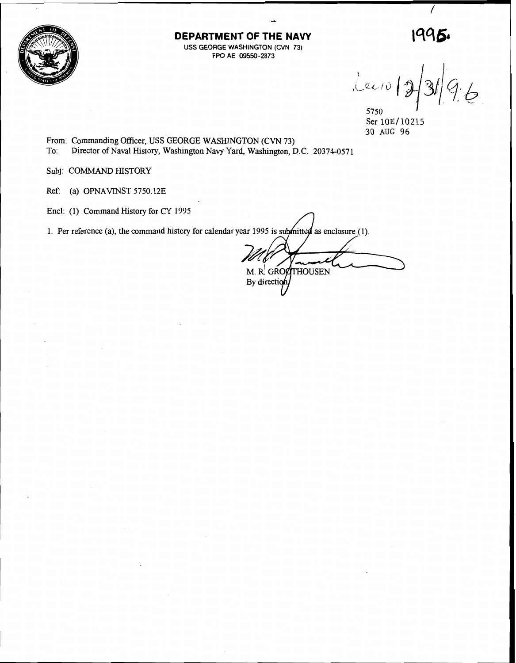

**DEPARTMENT OF THE NAVY USS GEORGE WASHINGTON (CVN 73) FPO AE 09550-2873** 

 $1995.$  $lexio$ 

5750 Ser 10E/10215 30 AUG 96

From: Commanding Officer, USS GEORGE WASHINGTON (CVN 73) To: Director of Naval History, Washington Navy Yard, Washington, D.C. 20374-0571

Subj: COMMAND HISTORY

Ref: (a) OPNAVINST 5750.12E

Encl: (1) Command History for CY 1995

1. Per reference (a), the command history for calendar year 1995 is submitted as enclosure (1).

M. R. GROOTHOUSEN By direction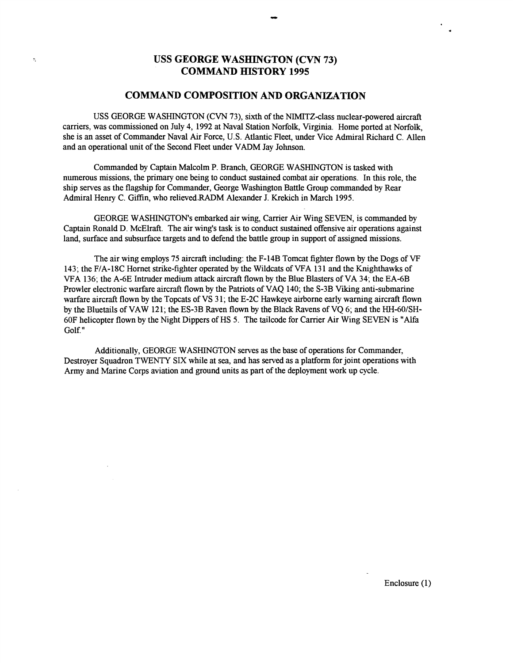# **USS GEORGE WASHINGTON (CVN 73) COMMAND HISTORY 1995**

 $\hat{\Sigma}$ 

## **COMMAND COMPOSITION AND ORGANIZATION**

USS GEORGE WASHINGTON (CVN 73), sixth of the NIMITZ-class nuclear-powered aircraft carriers, was commissioned on July 4, 1992 at Naval Station Norfolk, Virginia. Home ported at Norfolk, she is an asset of Commander Naval Air Force, U.S. Atlantic Fleet, under Vice Admiral Richard C. Allen and an operational unit of the Second Fleet under VADM Jay Johnson.

Commanded by Captain Malcolm P. Branch, GEORGE WASHINGTON is tasked with numerous missions, the primary one being to conduct sustained combat air operations. In this role, the ship serves as the flagship for Commander, George Washington Battle Group commanded by Rear Admiral Henry C. Giffin, who relieved.RADM Alexander J. Krekich in March 1995.

GEORGE WASHINGTON'S embarked air wing, Carrier Air Wing SEVEN, is commanded by Captain Ronald D. McElraft. The air wing's task is to conduct sustained offensive air operations against land, surface and subsurface targets and to defend the battle group in support of assigned missions.

The air wing employs 75 aircraft including: the F-14B Tomcat fighter flown by the Dogs of VF 143; the F/A-18C Hornet stnke-fighter operated by the Wildcats of VFA 13 1 and the Knighthawks of VFA 136; the A-6E Intruder medium attack aircraft flown by the Blue Blasters of VA 34; the EA-6B Prowler electronic warfare aircraft flown by the Patriots of VAQ 140; the S-3B Viking anti-submarine warfare aircraft flown by the Topcats of VS 3 1; the E-2C Hawkeye airborne early warning aircraft flown by the Bluetails of VAW 121; the ES-3B Raven flown by the Black Ravens of VQ 6; and the HH-60/SH-60F helicopter flown by the Night Dippers of HS 5. The tailcode for Carrier Air Wing SEVEN is "Alfa Golf."

Additionally, GEORGE WASHINGTON serves as the base of operations for Commander, Destroyer Squadron TWENTY SIX while at sea, and has served as a platform for joint operations with Army and Marine Corps aviation and ground units as part of the deployment work up cycle.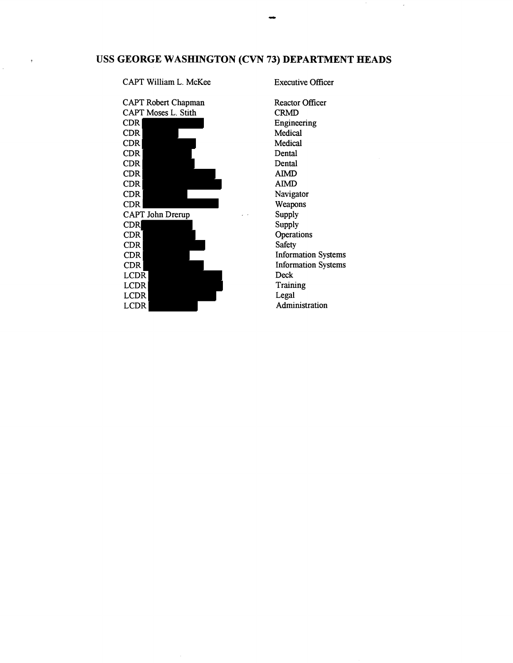# **USS GEORGE WASHINGTON (CVN 73) DEPARTMENT HEADS**

## CAPT William L. McKee Executive Officer

 $\tilde{\mathbf{y}}$ 



Reactor Officer CRMD Engineering Medical Medical Dental Dental **AIMD AIMD**  Navigator Weapons Supply Supply **Operations** Safety Information Systems Information Systems Deck Training Legal Administration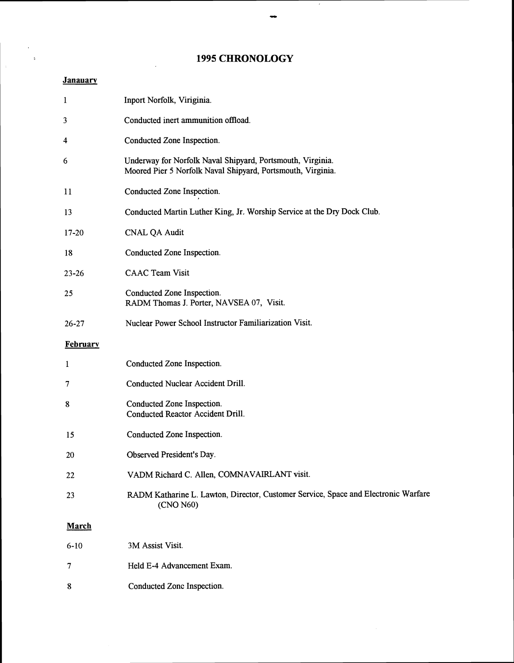# **1995 CHRONOLOGY**

 $\rightarrow$ 

Ţ

## **Janauary**

÷.

 $\mathbb{R}$ 

 $\sim 10$  $\sim$   $^{\circ}$ 

| 1         | Inport Norfolk, Viriginia.                                                                                                |
|-----------|---------------------------------------------------------------------------------------------------------------------------|
| 3         | Conducted inert ammunition offload.                                                                                       |
| 4         | Conducted Zone Inspection.                                                                                                |
| 6         | Underway for Norfolk Naval Shipyard, Portsmouth, Virginia.<br>Moored Pier 5 Norfolk Naval Shipyard, Portsmouth, Virginia. |
| 11        | Conducted Zone Inspection.                                                                                                |
| 13        | Conducted Martin Luther King, Jr. Worship Service at the Dry Dock Club.                                                   |
| $17 - 20$ | <b>CNAL QA Audit</b>                                                                                                      |
| 18        | Conducted Zone Inspection.                                                                                                |
| $23 - 26$ | <b>CAAC Team Visit</b>                                                                                                    |
| 25        | Conducted Zone Inspection.<br>RADM Thomas J. Porter, NAVSEA 07, Visit.                                                    |
| $26 - 27$ | Nuclear Power School Instructor Familiarization Visit.                                                                    |
| February  |                                                                                                                           |
| 1         | Conducted Zone Inspection.                                                                                                |
| 7         | Conducted Nuclear Accident Drill.                                                                                         |
| 8         | Conducted Zone Inspection.<br>Conducted Reactor Accident Drill.                                                           |
| 15        | Conducted Zone Inspection.                                                                                                |
| 20        | Observed President's Day.                                                                                                 |
| 22        | VADM Richard C. Allen, COMNAVAIRLANT visit.                                                                               |
| 23        | RADM Katharine L. Lawton, Director, Customer Service, Space and Electronic Warfare<br>(CNO N60)                           |
| March     |                                                                                                                           |
| $6 - 10$  | 3M Assist Visit.                                                                                                          |
| 7         | Held E-4 Advancement Exam.                                                                                                |
| 8         | Conducted Zone Inspection.                                                                                                |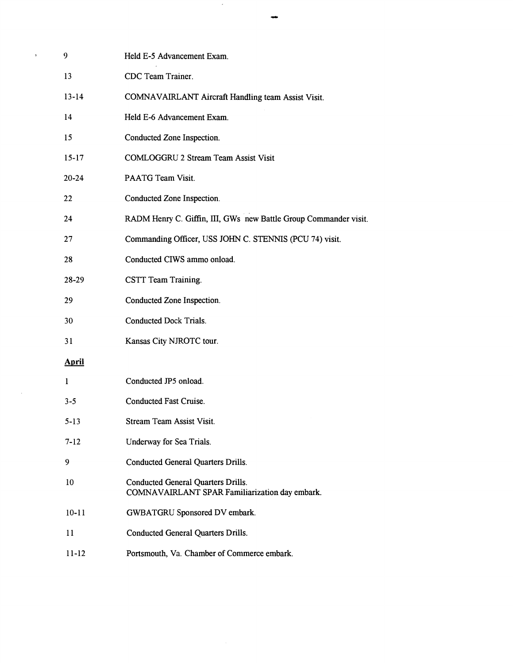| 9            | Held E-5 Advancement Exam.                                                                  |
|--------------|---------------------------------------------------------------------------------------------|
| 13           | CDC Team Trainer.                                                                           |
| $13 - 14$    | COMNAVAIRLANT Aircraft Handling team Assist Visit.                                          |
| 14           | Held E-6 Advancement Exam.                                                                  |
| 15           | Conducted Zone Inspection.                                                                  |
| $15 - 17$    | <b>COMLOGGRU 2 Stream Team Assist Visit</b>                                                 |
| $20 - 24$    | PAATG Team Visit.                                                                           |
| 22           | Conducted Zone Inspection.                                                                  |
| 24           | RADM Henry C. Giffin, III, GWs new Battle Group Commander visit.                            |
| 27           | Commanding Officer, USS JOHN C. STENNIS (PCU 74) visit.                                     |
| 28           | Conducted CIWS ammo onload.                                                                 |
| 28-29        | CSTT Team Training.                                                                         |
| 29           | Conducted Zone Inspection.                                                                  |
| 30           | <b>Conducted Dock Trials.</b>                                                               |
| 31           | Kansas City NJROTC tour.                                                                    |
| <b>April</b> |                                                                                             |
| $\mathbf{1}$ | Conducted JP5 onload.                                                                       |
| $3 - 5$      | Conducted Fast Cruise.                                                                      |
| $5-13$       | Stream Team Assist Visit.                                                                   |
| $7 - 12$     | Underway for Sea Trials.                                                                    |
| 9            | <b>Conducted General Quarters Drills.</b>                                                   |
| 10           | <b>Conducted General Quarters Drills.</b><br>COMNAVAIRLANT SPAR Familiarization day embark. |
| $10 - 11$    | GWBATGRU Sponsored DV embark.                                                               |
| 11           | <b>Conducted General Quarters Drills.</b>                                                   |
| $11 - 12$    | Portsmouth, Va. Chamber of Commerce embark.                                                 |

 $\sim$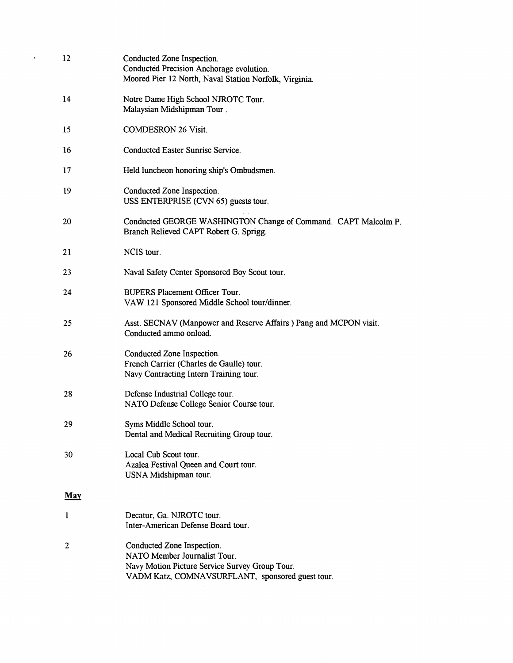| 12           | Conducted Zone Inspection.<br>Conducted Precision Anchorage evolution.<br>Moored Pier 12 North, Naval Station Norfolk, Virginia.                                 |
|--------------|------------------------------------------------------------------------------------------------------------------------------------------------------------------|
| 14           | Notre Dame High School NJROTC Tour.<br>Malaysian Midshipman Tour.                                                                                                |
| 15           | <b>COMDESRON 26 Visit.</b>                                                                                                                                       |
| 16           | <b>Conducted Easter Sunrise Service.</b>                                                                                                                         |
| 17           | Held luncheon honoring ship's Ombudsmen.                                                                                                                         |
| 19           | Conducted Zone Inspection.<br>USS ENTERPRISE (CVN 65) guests tour.                                                                                               |
| 20           | Conducted GEORGE WASHINGTON Change of Command. CAPT Malcolm P.<br>Branch Relieved CAPT Robert G. Sprigg.                                                         |
| 21           | NCIS tour.                                                                                                                                                       |
| 23           | Naval Safety Center Sponsored Boy Scout tour.                                                                                                                    |
| 24           | <b>BUPERS Placement Officer Tour.</b><br>VAW 121 Sponsored Middle School tour/dinner.                                                                            |
| 25           | Asst. SECNAV (Manpower and Reserve Affairs ) Pang and MCPON visit.<br>Conducted ammo onload.                                                                     |
| 26           | Conducted Zone Inspection.<br>French Carrier (Charles de Gaulle) tour.<br>Navy Contracting Intern Training tour.                                                 |
| 28           | Defense Industrial College tour.<br>NATO Defense College Senior Course tour.                                                                                     |
| 29           | Syms Middle School tour.<br>Dental and Medical Recruiting Group tour.                                                                                            |
| 30           | Local Cub Scout tour.<br>Azalea Festival Queen and Court tour.<br>USNA Midshipman tour.                                                                          |
| <b>May</b>   |                                                                                                                                                                  |
| 1            | Decatur, Ga. NJROTC tour.<br>Inter-American Defense Board tour.                                                                                                  |
| $\mathbf{2}$ | Conducted Zone Inspection.<br>NATO Member Journalist Tour.<br>Navy Motion Picture Service Survey Group Tour.<br>VADM Katz, COMNAVSURFLANT, sponsored guest tour. |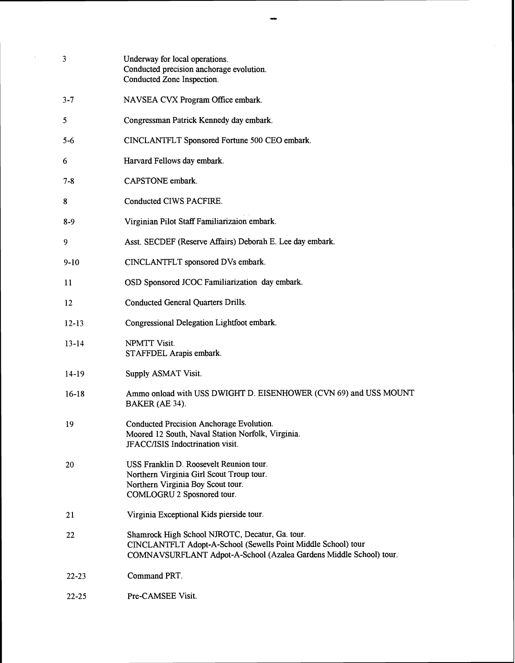| 3         | Underway for local operations.<br>Conducted precision anchorage evolution.<br>Conducted Zone Inspection.                                                                               |
|-----------|----------------------------------------------------------------------------------------------------------------------------------------------------------------------------------------|
| $3 - 7$   | NAVSEA CVX Program Office embark.                                                                                                                                                      |
| 5         | Congressman Patrick Kennedy day embark.                                                                                                                                                |
| 5-6       | CINCLANTFLT Sponsored Fortune 500 CEO embark.                                                                                                                                          |
| 6         | Harvard Fellows day embark.                                                                                                                                                            |
| 7-8       | CAPSTONE embark.                                                                                                                                                                       |
| 8         | Conducted CIWS PACFIRE.                                                                                                                                                                |
| $8-9$     | Virginian Pilot Staff Familiarizaion embark.                                                                                                                                           |
| 9         | Asst. SECDEF (Reserve Affairs) Deborah E. Lee day embark.                                                                                                                              |
| $9-10$    | CINCLANTFLT sponsored DVs embark.                                                                                                                                                      |
| 11        | OSD Sponsored JCOC Familiarization day embark.                                                                                                                                         |
| 12        | <b>Conducted General Quarters Drills.</b>                                                                                                                                              |
| $12 - 13$ | Congressional Delegation Lightfoot embark.                                                                                                                                             |
| $13 - 14$ | NPMTT Visit.<br>STAFFDEL Arapis embark.                                                                                                                                                |
| $14-19$   | Supply ASMAT Visit.                                                                                                                                                                    |
| $16-18$   | Ammo onload with USS DWIGHT D. EISENHOWER (CVN 69) and USS MOUNT<br>BAKER (AE 34).                                                                                                     |
| 19        | Conducted Precision Anchorage Evolution.<br>Moored 12 South, Naval Station Norfolk, Virginia.<br>JFACC/ISIS Indoctrination visit.                                                      |
| 20        | USS Franklin D. Roosevelt Reunion tour.<br>Northern Virginia Girl Scout Troup tour.<br>Northern Virginia Boy Scout tour.<br>COMLOGRU 2 Sposnored tour.                                 |
| 21        | Virginia Exceptional Kids pierside tour.                                                                                                                                               |
| 22        | Shamrock High School NJROTC, Decatur, Ga. tour.<br>CINCLANTFLT Adopt-A-School (Sewells Point Middle School) tour<br>COMNAVSURFLANT Adpot-A-School (Azalea Gardens Middle School) tour. |
| $22 - 23$ | Command PRT.                                                                                                                                                                           |
| $22 - 25$ | Pre-CAMSEE Visit.                                                                                                                                                                      |

 $\bar{\gamma}$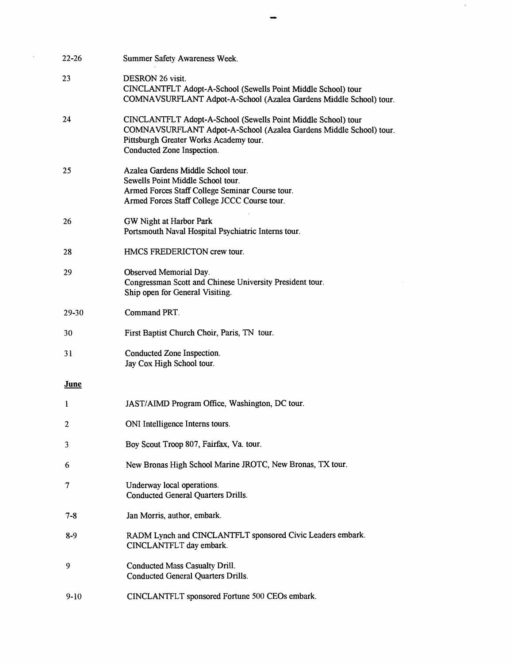| $22 - 26$ | Summer Safety Awareness Week.                                                                                                                                                                               |
|-----------|-------------------------------------------------------------------------------------------------------------------------------------------------------------------------------------------------------------|
| 23        | DESRON 26 visit.<br>CINCLANTFLT Adopt-A-School (Sewells Point Middle School) tour<br>COMNAVSURFLANT Adpot-A-School (Azalea Gardens Middle School) tour.                                                     |
| 24        | CINCLANTFLT Adopt-A-School (Sewells Point Middle School) tour<br>COMNAVSURFLANT Adpot-A-School (Azalea Gardens Middle School) tour.<br>Pittsburgh Greater Works Academy tour.<br>Conducted Zone Inspection. |
| 25        | Azalea Gardens Middle School tour.<br>Sewells Point Middle School tour.<br>Armed Forces Staff College Seminar Course tour.<br>Armed Forces Staff College JCCC Course tour.                                  |
| 26        | GW Night at Harbor Park<br>Portsmouth Naval Hospital Psychiatric Interns tour.                                                                                                                              |
| 28        | HMCS FREDERICTON crew tour.                                                                                                                                                                                 |
| 29        | Observed Memorial Day.<br>Congressman Scott and Chinese University President tour.<br>Ship open for General Visiting.                                                                                       |
| 29-30     | Command PRT.                                                                                                                                                                                                |
| 30        | First Baptist Church Choir, Paris, TN tour.                                                                                                                                                                 |
| 31        | Conducted Zone Inspection.<br>Jay Cox High School tour.                                                                                                                                                     |
| June      |                                                                                                                                                                                                             |
| 1         | JAST/AIMD Program Office, Washington, DC tour.                                                                                                                                                              |
| 2         | ONI Intelligence Interns tours                                                                                                                                                                              |
| 3         | Boy Scout Troop 807, Fairfax, Va. tour.                                                                                                                                                                     |
| 6         | New Bronas High School Marine JROTC, New Bronas, TX tour.                                                                                                                                                   |
| $\tau$    | Underway local operations.<br><b>Conducted General Quarters Drills.</b>                                                                                                                                     |
| $7 - 8$   | Jan Morris, author, embark.                                                                                                                                                                                 |
| $8-9$     | RADM Lynch and CINCLANTFLT sponsored Civic Leaders embark.<br>CINCLANTFLT day embark.                                                                                                                       |
| 9         | <b>Conducted Mass Casualty Drill.</b><br><b>Conducted General Quarters Drills.</b>                                                                                                                          |
| $9-10$    | CINCLANTFLT sponsored Fortune 500 CEOs embark.                                                                                                                                                              |

 $\sim$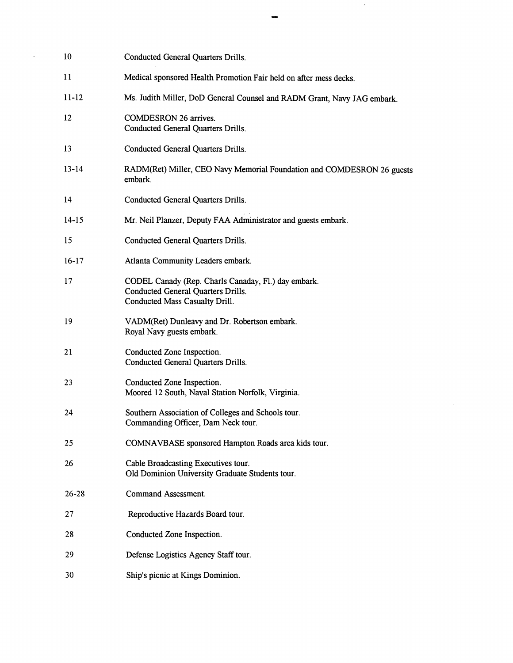| 10                | <b>Conducted General Quarters Drills.</b>                                                                                          |
|-------------------|------------------------------------------------------------------------------------------------------------------------------------|
| 11                | Medical sponsored Health Promotion Fair held on after mess decks.                                                                  |
| $11 - 12$         | Ms. Judith Miller, DoD General Counsel and RADM Grant, Navy JAG embark.                                                            |
| $12 \overline{ }$ | <b>COMDESRON 26 arrives.</b><br><b>Conducted General Quarters Drills.</b>                                                          |
| 13                | Conducted General Quarters Drills.                                                                                                 |
| $13 - 14$         | RADM(Ret) Miller, CEO Navy Memorial Foundation and COMDESRON 26 guests<br>embark.                                                  |
| 14                | Conducted General Quarters Drills.                                                                                                 |
| $14 - 15$         | Mr. Neil Planzer, Deputy FAA Administrator and guests embark.                                                                      |
| 15                | <b>Conducted General Quarters Drills.</b>                                                                                          |
| $16-17$           | Atlanta Community Leaders embark.                                                                                                  |
| 17                | CODEL Canady (Rep. Charls Canaday, Fl.) day embark.<br><b>Conducted General Quarters Drills.</b><br>Conducted Mass Casualty Drill. |
| 19                | VADM(Ret) Dunleavy and Dr. Robertson embark.<br>Royal Navy guests embark.                                                          |
| 21                | Conducted Zone Inspection.<br><b>Conducted General Quarters Drills.</b>                                                            |
| 23                | Conducted Zone Inspection.<br>Moored 12 South, Naval Station Norfolk, Virginia.                                                    |
| 24                | Southern Association of Colleges and Schools tour.<br>Commanding Officer, Dam Neck tour.                                           |
| 25                | COMNAVBASE sponsored Hampton Roads area kids tour.                                                                                 |
| 26                | Cable Broadcasting Executives tour.<br>Old Dominion University Graduate Students tour.                                             |
| $26 - 28$         | <b>Command Assessment.</b>                                                                                                         |
| 27                | Reproductive Hazards Board tour.                                                                                                   |
| 28                | Conducted Zone Inspection.                                                                                                         |
| 29                | Defense Logistics Agency Staff tour.                                                                                               |
| 30                | Ship's picnic at Kings Dominion.                                                                                                   |

 $\sim$   $\epsilon$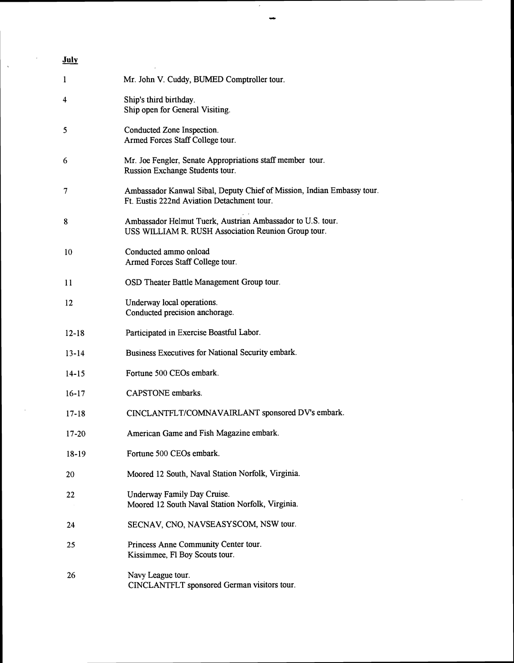# **July**

 $\mathcal{L}$ 

 $\overline{\phantom{a}}$ 

 $\bar{\mathcal{A}}$ 

 $\bar{\lambda}$ 

| 1         | Mr. John V. Cuddy, BUMED Comptroller tour.                                                                           |
|-----------|----------------------------------------------------------------------------------------------------------------------|
| 4         | Ship's third birthday.<br>Ship open for General Visiting.                                                            |
| 5         | Conducted Zone Inspection.<br>Armed Forces Staff College tour.                                                       |
| 6         | Mr. Joe Fengler, Senate Appropriations staff member tour.<br>Russion Exchange Students tour.                         |
| 7         | Ambassador Kanwal Sibal, Deputy Chief of Mission, Indian Embassy tour.<br>Ft. Eustis 222nd Aviation Detachment tour. |
| 8         | Ambassador Helmut Tuerk, Austrian Ambassador to U.S. tour.<br>USS WILLIAM R. RUSH Association Reunion Group tour.    |
| 10        | Conducted ammo onload<br>Armed Forces Staff College tour.                                                            |
| 11        | OSD Theater Battle Management Group tour.                                                                            |
| 12        | Underway local operations.<br>Conducted precision anchorage.                                                         |
| $12 - 18$ | Participated in Exercise Boastful Labor.                                                                             |
| $13 - 14$ | Business Executives for National Security embark.                                                                    |
| $14 - 15$ | Fortune 500 CEOs embark.                                                                                             |
| $16-17$   | CAPSTONE embarks.                                                                                                    |
| $17 - 18$ | CINCLANTFLT/COMNAVAIRLANT sponsored DV's embark.                                                                     |
| $17 - 20$ | American Game and Fish Magazine embark.                                                                              |
| $18-19$   | Fortune 500 CEOs embark.                                                                                             |
| 20        | Moored 12 South, Naval Station Norfolk, Virginia.                                                                    |
| 22        | Underway Family Day Cruise.<br>Moored 12 South Naval Station Norfolk, Virginia.                                      |
| 24        | SECNAV, CNO, NAVSEASYSCOM, NSW tour.                                                                                 |
| 25        | Princess Anne Community Center tour.<br>Kissimmee, Fl Boy Scouts tour.                                               |
| 26        | Navy League tour.<br>CINCLANTFLT sponsored German visitors tour.                                                     |

 $\hat{\mathcal{A}}$ 

 $\overline{\phantom{a}}$ 

 $\bar{\gamma}$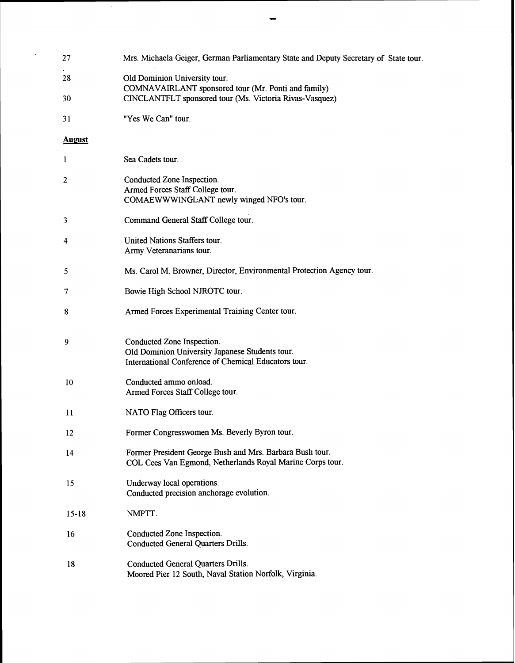| 27            | Mrs. Michaela Geiger, German Parliamentary State and Deputy Secretary of State tour.                                                  |
|---------------|---------------------------------------------------------------------------------------------------------------------------------------|
| 28            | Old Dominion University tour.<br>COMNAVAIRLANT sponsored tour (Mr. Ponti and family)                                                  |
| 30            | CINCLANTFLT sponsored tour (Ms. Victoria Rivas-Vasquez)                                                                               |
| 31            | "Yes We Can" tour.                                                                                                                    |
| <b>August</b> |                                                                                                                                       |
| 1             | Sea Cadets tour.                                                                                                                      |
| 2             | Conducted Zone Inspection.<br>Armed Forces Staff College tour.<br>COMAEWWWINGLANT newly winged NFO's tour.                            |
| 3             | Command General Staff College tour.                                                                                                   |
| 4             | United Nations Staffers tour.<br>Army Veteranarians tour.                                                                             |
| 5             | Ms. Carol M. Browner, Director, Environmental Protection Agency tour.                                                                 |
| 7             | Bowie High School NJROTC tour.                                                                                                        |
| 8             | Armed Forces Experimental Training Center tour.                                                                                       |
| 9             | Conducted Zone Inspection.<br>Old Dominion University Japanese Students tour.<br>International Conference of Chemical Educators tour. |
| 10            | Conducted ammo onload.<br>Armed Forces Staff College tour.                                                                            |
| 11            | NATO Flag Officers tour.                                                                                                              |
| 12            | Former Congresswomen Ms. Beverly Byron tour.                                                                                          |
| 14            | Former President George Bush and Mrs. Barbara Bush tour.<br>COL Cees Van Egmond, Netherlands Royal Marine Corps tour.                 |
| 15            | Underway local operations.<br>Conducted precision anchorage evolution.                                                                |
| $15 - 18$     | NMPTT.                                                                                                                                |
| 16            | Conducted Zone Inspection.<br><b>Conducted General Quarters Drills.</b>                                                               |
| 18            | <b>Conducted General Quarters Drills.</b><br>Moored Pier 12 South, Naval Station Norfolk, Virginia.                                   |

 $\hat{\mathcal{A}}$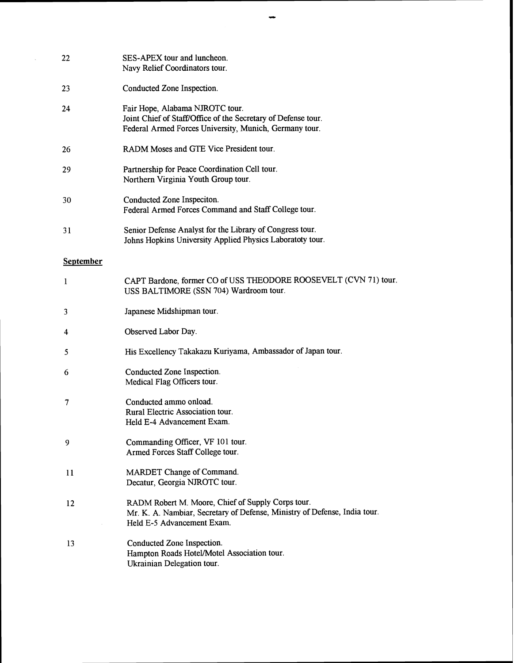| 22               | SES-APEX tour and luncheon.<br>Navy Relief Coordinators tour.                                                                                                |
|------------------|--------------------------------------------------------------------------------------------------------------------------------------------------------------|
| 23               | Conducted Zone Inspection.                                                                                                                                   |
| 24               | Fair Hope, Alabama NJROTC tour.<br>Joint Chief of Staff/Office of the Secretary of Defense tour.<br>Federal Armed Forces University, Munich, Germany tour.   |
| 26               | RADM Moses and GTE Vice President tour.                                                                                                                      |
| 29               | Partnership for Peace Coordination Cell tour.<br>Northern Virginia Youth Group tour.                                                                         |
| 30               | Conducted Zone Inspeciton.<br>Federal Armed Forces Command and Staff College tour.                                                                           |
| 31               | Senior Defense Analyst for the Library of Congress tour.<br>Johns Hopkins University Applied Physics Laboratoty tour.                                        |
| <b>September</b> |                                                                                                                                                              |
| 1                | CAPT Bardone, former CO of USS THEODORE ROOSEVELT (CVN 71) tour.<br>USS BALTIMORE (SSN 704) Wardroom tour.                                                   |
| 3                | Japanese Midshipman tour.                                                                                                                                    |
| 4                | Observed Labor Day.                                                                                                                                          |
| 5                | His Excellency Takakazu Kuriyama, Ambassador of Japan tour.                                                                                                  |
| 6                | Conducted Zone Inspection.<br>Medical Flag Officers tour.                                                                                                    |
| 7                | Conducted ammo onload.<br>Rural Electric Association tour.<br>Held E-4 Advancement Exam.                                                                     |
| 9                | Commanding Officer, VF 101 tour.<br>Armed Forces Staff College tour.                                                                                         |
| 11               | MARDET Change of Command.<br>Decatur, Georgia NJROTC tour.                                                                                                   |
| 12               | RADM Robert M. Moore, Chief of Supply Corps tour.<br>Mr. K. A. Nambiar, Secretary of Defense, Ministry of Defense, India tour.<br>Held E-5 Advancement Exam. |
| 13               | Conducted Zone Inspection.<br>Hampton Roads Hotel/Motel Association tour.<br>Ukrainian Delegation tour.                                                      |

 $\bar{\gamma}$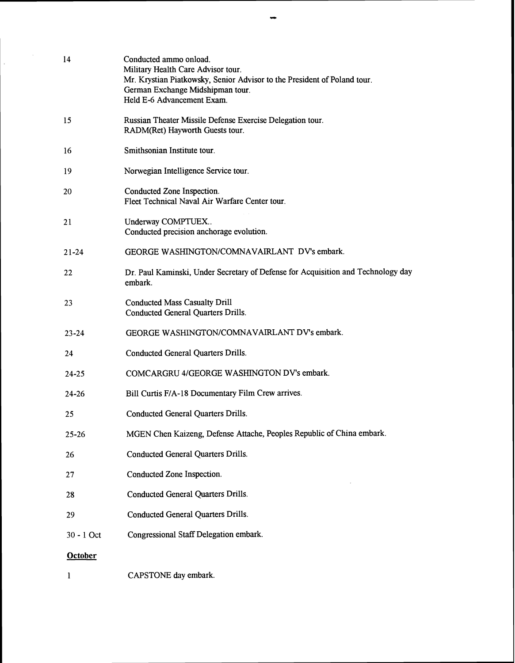| 14             | Conducted ammo onload.<br>Military Health Care Advisor tour.<br>Mr. Krystian Piatkowsky, Senior Advisor to the President of Poland tour.<br>German Exchange Midshipman tour.<br>Held E-6 Advancement Exam. |
|----------------|------------------------------------------------------------------------------------------------------------------------------------------------------------------------------------------------------------|
| 15             | Russian Theater Missile Defense Exercise Delegation tour.<br>RADM(Ret) Hayworth Guests tour.                                                                                                               |
| 16             | Smithsonian Institute tour.                                                                                                                                                                                |
| 19             | Norwegian Intelligence Service tour.                                                                                                                                                                       |
| 20             | Conducted Zone Inspection.<br>Fleet Technical Naval Air Warfare Center tour.                                                                                                                               |
| 21             | Underway COMPTUEX<br>Conducted precision anchorage evolution.                                                                                                                                              |
| $21 - 24$      | GEORGE WASHINGTON/COMNAVAIRLANT DV's embark.                                                                                                                                                               |
| 22             | Dr. Paul Kaminski, Under Secretary of Defense for Acquisition and Technology day<br>embark.                                                                                                                |
| 23             | <b>Conducted Mass Casualty Drill</b><br><b>Conducted General Quarters Drills.</b>                                                                                                                          |
| $23 - 24$      | GEORGE WASHINGTON/COMNAVAIRLANT DV's embark.                                                                                                                                                               |
| 24             | <b>Conducted General Quarters Drills.</b>                                                                                                                                                                  |
| $24 - 25$      | COMCARGRU 4/GEORGE WASHINGTON DV's embark.                                                                                                                                                                 |
| $24 - 26$      | Bill Curtis F/A-18 Documentary Film Crew arrives.                                                                                                                                                          |
| 25             | <b>Conducted General Quarters Drills.</b>                                                                                                                                                                  |
| $25 - 26$      | MGEN Chen Kaizeng, Defense Attache, Peoples Republic of China embark.                                                                                                                                      |
| 26             | <b>Conducted General Quarters Drills.</b>                                                                                                                                                                  |
| 27             | Conducted Zone Inspection.                                                                                                                                                                                 |
| 28             | <b>Conducted General Quarters Drills.</b>                                                                                                                                                                  |
| 29             | <b>Conducted General Quarters Drills.</b>                                                                                                                                                                  |
| 30 - 1 Oct     | Congressional Staff Delegation embark.                                                                                                                                                                     |
| <b>October</b> |                                                                                                                                                                                                            |
| 1              | CAPSTONE day embark.                                                                                                                                                                                       |

 $\sim 10^6$ 

 $\frac{1}{\sqrt{2}}$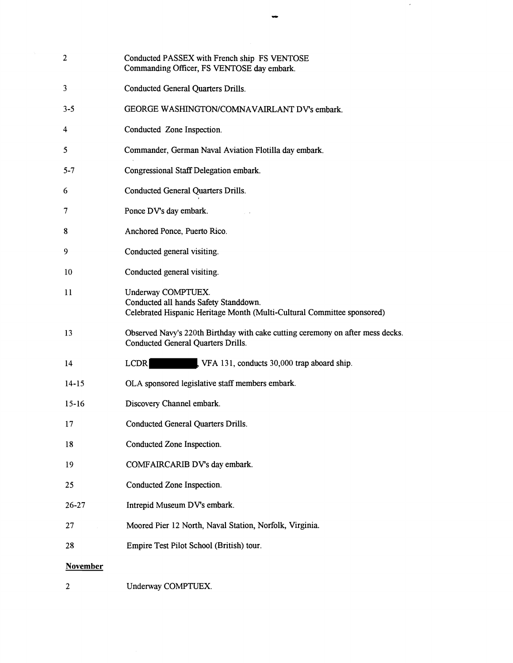| $\overline{2}$  | Conducted PASSEX with French ship FS VENTOSE<br>Commanding Officer, FS VENTOSE day embark.                                             |
|-----------------|----------------------------------------------------------------------------------------------------------------------------------------|
| 3               | Conducted General Quarters Drills.                                                                                                     |
| $3 - 5$         | GEORGE WASHINGTON/COMNAVAIRLANT DV's embark.                                                                                           |
| 4               | Conducted Zone Inspection.                                                                                                             |
| 5               | Commander, German Naval Aviation Flotilla day embark.                                                                                  |
| $5 - 7$         | Congressional Staff Delegation embark.                                                                                                 |
| 6               | <b>Conducted General Quarters Drills.</b>                                                                                              |
| 7               | Ponce DV's day embark.                                                                                                                 |
| 8               | Anchored Ponce, Puerto Rico.                                                                                                           |
| 9               | Conducted general visiting.                                                                                                            |
| 10              | Conducted general visiting.                                                                                                            |
| 11              | Underway COMPTUEX.<br>Conducted all hands Safety Standdown.<br>Celebrated Hispanic Heritage Month (Multi-Cultural Committee sponsored) |
| 13              | Observed Navy's 220th Birthday with cake cutting ceremony on after mess decks.<br><b>Conducted General Quarters Drills.</b>            |
| 14              | <b>LCDR</b><br>VFA 131, conducts 30,000 trap aboard ship.                                                                              |
| $14 - 15$       | OLA sponsored legislative staff members embark.                                                                                        |
| $15-16$         | Discovery Channel embark.                                                                                                              |
| 17              | <b>Conducted General Quarters Drills.</b>                                                                                              |
| 18              | Conducted Zone Inspection.                                                                                                             |
| 19              | COMFAIRCARIB DV's day embark.                                                                                                          |
| 25              | Conducted Zone Inspection.                                                                                                             |
| $26 - 27$       | Intrepid Museum DV's embark.                                                                                                           |
| 27              | Moored Pier 12 North, Naval Station, Norfolk, Virginia.                                                                                |
| 28              | Empire Test Pilot School (British) tour.                                                                                               |
| <b>November</b> |                                                                                                                                        |
| 2               | Underway COMPTUEX.                                                                                                                     |

 $\hat{\boldsymbol{\beta}}$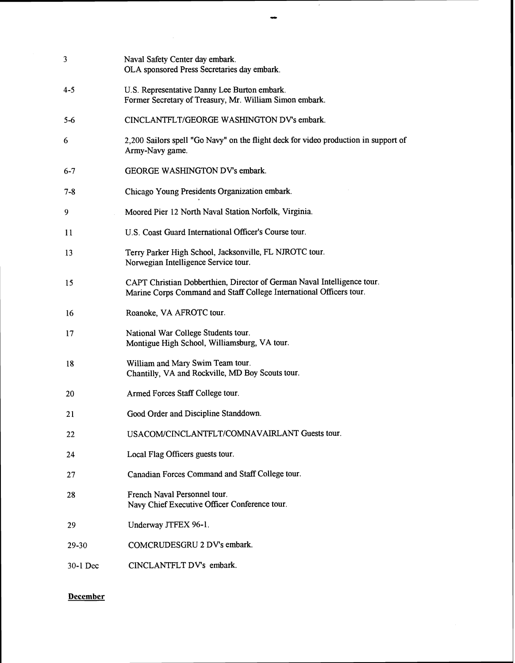| 3        | Naval Safety Center day embark.<br>OLA sponsored Press Secretaries day embark.                                                                 |
|----------|------------------------------------------------------------------------------------------------------------------------------------------------|
| 4-5      | U.S. Representative Danny Lee Burton embark.<br>Former Secretary of Treasury, Mr. William Simon embark.                                        |
| $5 - 6$  | CINCLANTFLT/GEORGE WASHINGTON DV's embark.                                                                                                     |
| 6        | 2,200 Sailors spell "Go Navy" on the flight deck for video production in support of<br>Army-Navy game.                                         |
| $6 - 7$  | GEORGE WASHINGTON DV's embark.                                                                                                                 |
| $7 - 8$  | Chicago Young Presidents Organization embark.                                                                                                  |
| 9        | Moored Pier 12 North Naval Station Norfolk, Virginia.                                                                                          |
| 11       | U.S. Coast Guard International Officer's Course tour.                                                                                          |
| 13       | Terry Parker High School, Jacksonville, FL NJROTC tour.<br>Norwegian Intelligence Service tour.                                                |
| 15       | CAPT Christian Dobberthien, Director of German Naval Intelligence tour.<br>Marine Corps Command and Staff College International Officers tour. |
| 16       | Roanoke, VA AFROTC tour.                                                                                                                       |
| 17       | National War College Students tour.<br>Montigue High School, Williamsburg, VA tour.                                                            |
| 18       | William and Mary Swim Team tour.<br>Chantilly, VA and Rockville, MD Boy Scouts tour.                                                           |
| 20       | Armed Forces Staff College tour.                                                                                                               |
| 21       | Good Order and Discipline Standdown.                                                                                                           |
| 22       | USACOM/CINCLANTFLT/COMNAVAIRLANT Guests tour.                                                                                                  |
| 24       | Local Flag Officers guests tour.                                                                                                               |
| 27       | Canadian Forces Command and Staff College tour.                                                                                                |
| 28       | French Naval Personnel tour.<br>Navy Chief Executive Officer Conference tour.                                                                  |
| 29       | Underway JTFEX 96-1.                                                                                                                           |
| 29-30    | COMCRUDESGRU 2 DV's embark.                                                                                                                    |
| 30-1 Dec | CINCLANTFLT DV's embark.                                                                                                                       |

# **December**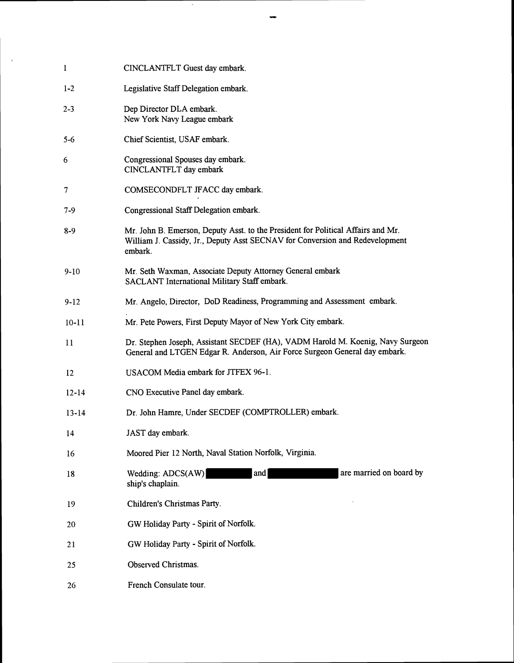| l         | CINCLANTFLT Guest day embark.                                                                                                                                               |
|-----------|-----------------------------------------------------------------------------------------------------------------------------------------------------------------------------|
| $1 - 2$   | Legislative Staff Delegation embark.                                                                                                                                        |
| $2 - 3$   | Dep Director DLA embark.<br>New York Navy League embark                                                                                                                     |
| 5-6       | Chief Scientist, USAF embark.                                                                                                                                               |
| 6         | Congressional Spouses day embark.<br>CINCLANTFLT day embark                                                                                                                 |
| 7         | COMSECONDFLT JFACC day embark.                                                                                                                                              |
| 7-9       | Congressional Staff Delegation embark.                                                                                                                                      |
| 8-9       | Mr. John B. Emerson, Deputy Asst. to the President for Political Affairs and Mr.<br>William J. Cassidy, Jr., Deputy Asst SECNAV for Conversion and Redevelopment<br>embark. |
| $9-10$    | Mr. Seth Waxman, Associate Deputy Attorney General embark<br>SACLANT International Military Staff embark.                                                                   |
| $9-12$    | Mr. Angelo, Director, DoD Readiness, Programming and Assessment embark.                                                                                                     |
| $10 - 11$ | Mr. Pete Powers, First Deputy Mayor of New York City embark.                                                                                                                |
| 11        | Dr. Stephen Joseph, Assistant SECDEF (HA), VADM Harold M. Koenig, Navy Surgeon<br>General and LTGEN Edgar R. Anderson, Air Force Surgeon General day embark.                |
| 12        | USACOM Media embark for JTFEX 96-1.                                                                                                                                         |
| $12 - 14$ | CNO Executive Panel day embark.                                                                                                                                             |
| $13 - 14$ | Dr. John Hamre, Under SECDEF (COMPTROLLER) embark.                                                                                                                          |
| 14        | JAST day embark.                                                                                                                                                            |
| 16        | Moored Pier 12 North, Naval Station Norfolk, Virginia.                                                                                                                      |
| 18        | are married on board by<br>Wedding: ADCS(AW)<br>and<br>ship's chaplain.                                                                                                     |
| 19        | Children's Christmas Party.                                                                                                                                                 |
| 20        | GW Holiday Party - Spirit of Norfolk.                                                                                                                                       |
| 21        | GW Holiday Party - Spirit of Norfolk.                                                                                                                                       |
| 25        | Observed Christmas.                                                                                                                                                         |
| 26        | French Consulate tour.                                                                                                                                                      |

 $\mathcal{A}^{\mathcal{A}}$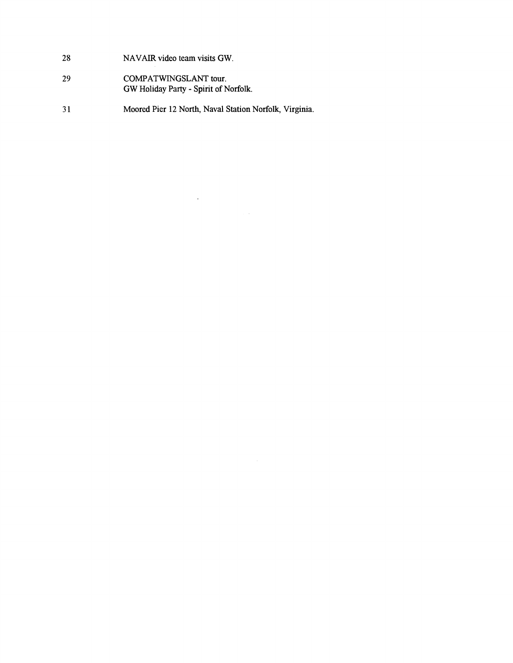- 28 **NAVAIR video team visits GW.**
- 29 **COMFATWINGSLANT tour. GW Holiday Party** - **Spirit of Norfolk.**
- $31$ **Moored Pier 12 North, Naval Station Norfolk, Virginia.**

 $\ddot{\phantom{0}}$ 

 $\hat{\mathcal{A}}(\hat{\mathcal{A}})$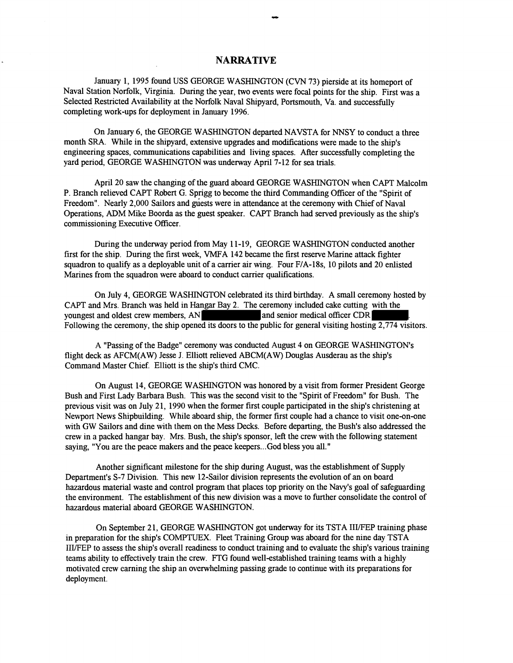## **NARRATIVE**

January 1, 1995 found USS GEORGE WASHINGTON (CVN 73) pierside at its homeport of Naval Station Norfolk, Virginia. During the year, two events were focal points for the ship. First was a Selected Restricted Availability at the Norfolk Naval Shipyard, Portsmouth, Va. and successfully completing work-ups for deployment in January 1996.

On January 6, the GEORGE WASHINGTON departed NAVSTA for NNSY to conduct a three month SRA. While in the shipyard, extensive upgrades and modifications were made to the ship's engineering spaces, communications capabilities and living spaces. After successfully completing the yard period, GEORGE WASHINGTON was underway April 7-12 for sea trials.

April 20 saw the changng of the guard aboard GEORGE WASHINGTON when CAPT Malcolm P. Branch relieved CAPT Robert G. Sprigg to become the third Commanding Officer of the "Spirit of Freedom". Nearly 2,000 Sailors and guests were in attendance at the ceremony with Chief of Naval Operations, ADM Mike Boorda as the guest speaker. CAPT Branch had served previously as the ship's commissioning Executive Officer.

During the underway period from May 11-19, GEORGE WASHINGTON conducted another first for the ship. During the first week, VMFA 142 became the first reserve Marine attack fighter squadron to qualify as a deployable unit of a carrier air wing. Four F/A-18s, 10 pilots and 20 enlisted Marines from the squadron were aboard to conduct carrier qualfications.

On July 4, GEORGE WASHINGTON celebrated its third birthday. A small ceremony hosted by CAPT and Mrs. Branch was held in Hangar Bay 2. The ceremony included cake cutting with the youngest and oldest crew members, AN youngest and oldest crew members,  $AN$ Following the ceremony, the ship opened its doors to the public for general visiting hosting 2,774 visitors.

A "Passing of the Badge" ceremony was conducted August 4 on GEORGE WASHINGTON'S flight deck as AFCM(AW) Jesse J. Elliott relieved ABCM(AW) Douglas Ausderau as the ship's Command Master Chief. Elliott is the ship's third CMC.

On August 14, GEORGE WASHINGTON was honored by a visit from former President George Bush and First Lady Barbara Bush. This was the second visit to the "Spirit of Freedom" for Bush. The previous visit was on July 21, 1990 when the former first couple participated in the ship's christening at Newport News Shipbuilding. While aboard ship, the former first couple had a chance to visit one-on-one with GW Sailors and dine with them on the Mess Decks. Before departing, the Bush's also addressed the crew in a packed hangar bay. Mrs. Bush, the shp's sponsor, left the crew with the following statement saying, "You are the peace makers and the peace keepers...God bless you all."

Another significant milestone for the ship during August, was the establishment of Supply Department's S-7 Division. This new 12-Sailor division represents the evolution of an on board hazardous material waste and control program that places top priority on the Navy's goal of safeguarding the environment. The establishment of this new division was a move to further consolidate the control of hazardous material aboard GEORGE WASHINGTON.

On September 2 1, GEORGE WASHINGTON got underway for its TSTA IIVFEP training phase in preparation for the ship's COMPTUEX. Fleet Training Group was aboard for the nine day TSTA III/FEP to assess the ship's overall readmess to conduct training and to evaluate the ship's various training teams ability to effectively train the crew. FTG found wellestablished training teams with a highly motivated crew earning the ship an overwhelming passing grade to conlinue with its preparations for deployment.